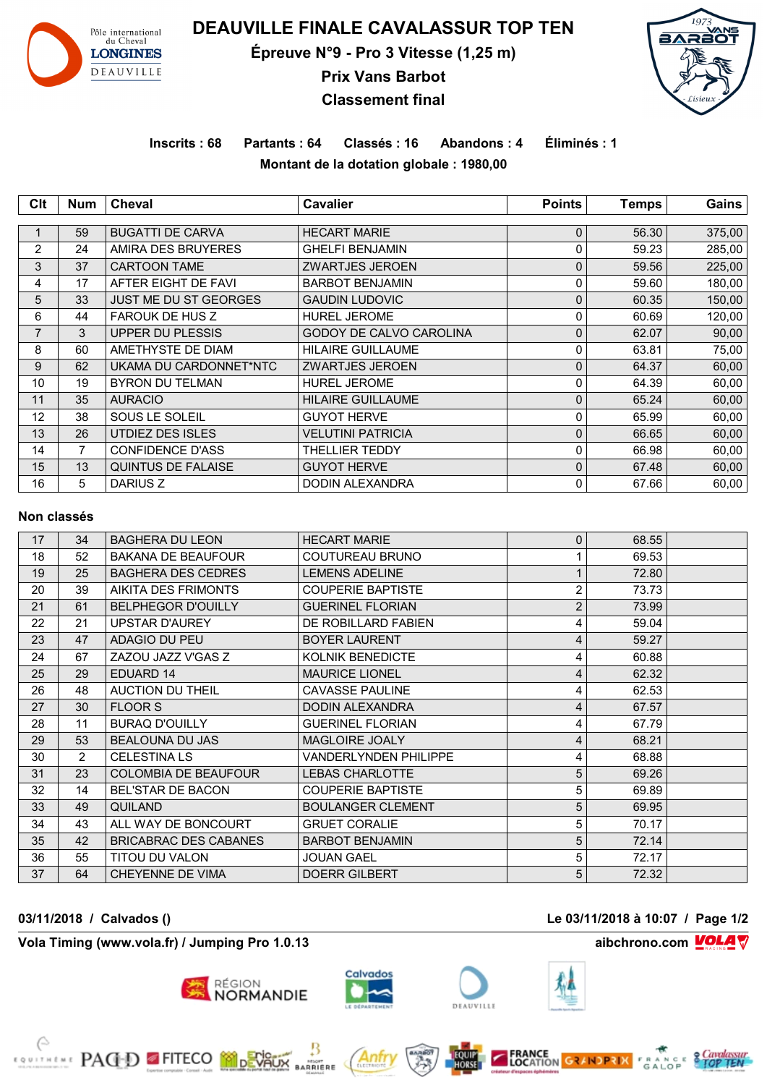

**DEAUVILLE FINALE CAVALASSUR TOP TEN**

**Épreuve N°9 - Pro 3 Vitesse (1,25 m)**

**Prix Vans Barbot**

# **Classement final**



## **Inscrits : 68 Partants : 64 Classés : 16 Abandons : 4 Éliminés : 1 Montant de la dotation globale : 1980,00**

| Clt            | <b>Num</b>     | Cheval                       | <b>Cavalier</b>          | <b>Points</b> | <b>Temps</b> | Gains  |
|----------------|----------------|------------------------------|--------------------------|---------------|--------------|--------|
|                |                |                              |                          |               |              |        |
|                | 59             | <b>BUGATTI DE CARVA</b>      | <b>HECART MARIE</b>      | $\mathbf 0$   | 56.30        | 375,00 |
| $\overline{2}$ | 24             | AMIRA DES BRUYERES           | <b>GHELFI BENJAMIN</b>   | 0             | 59.23        | 285,00 |
| 3              | 37             | <b>CARTOON TAME</b>          | <b>ZWARTJES JEROEN</b>   | $\mathbf 0$   | 59.56        | 225,00 |
| 4              | 17             | AFTER EIGHT DE FAVI          | <b>BARBOT BENJAMIN</b>   | 0             | 59.60        | 180,00 |
| 5              | 33             | <b>JUST ME DU ST GEORGES</b> | <b>GAUDIN LUDOVIC</b>    | $\mathbf{0}$  | 60.35        | 150,00 |
| 6              | 44             | <b>FAROUK DE HUS Z</b>       | <b>HUREL JEROME</b>      | 0             | 60.69        | 120,00 |
| $\overline{7}$ | 3              | <b>UPPER DU PLESSIS</b>      | GODOY DE CALVO CAROLINA  | $\mathbf 0$   | 62.07        | 90,00  |
| 8              | 60             | AMETHYSTE DE DIAM            | <b>HILAIRE GUILLAUME</b> | 0             | 63.81        | 75,00  |
| 9              | 62             | UKAMA DU CARDONNET*NTC       | <b>ZWARTJES JEROEN</b>   | 0             | 64.37        | 60,00  |
| 10             | 19             | <b>BYRON DU TELMAN</b>       | <b>HUREL JEROME</b>      | 0             | 64.39        | 60,00  |
| 11             | 35             | <b>AURACIO</b>               | <b>HILAIRE GUILLAUME</b> | $\mathbf{0}$  | 65.24        | 60,00  |
| 12             | 38             | SOUS LE SOLEIL               | <b>GUYOT HERVE</b>       | 0             | 65.99        | 60,00  |
| 13             | 26             | UTDIEZ DES ISLES             | <b>VELUTINI PATRICIA</b> | $\mathbf{0}$  | 66.65        | 60,00  |
| 14             | $\overline{7}$ | <b>CONFIDENCE D'ASS</b>      | <b>THELLIER TEDDY</b>    | 0             | 66.98        | 60,00  |
| 15             | 13             | <b>QUINTUS DE FALAISE</b>    | <b>GUYOT HERVE</b>       | $\mathbf{0}$  | 67.48        | 60,00  |
| 16             | 5              | DARIUS Z                     | <b>DODIN ALEXANDRA</b>   | 0             | 67.66        | 60,00  |

#### **Non classés**

| 17 | 34             | <b>BAGHERA DU LEON</b>       | <b>HECART MARIE</b>          | $\Omega$       | 68.55 |  |
|----|----------------|------------------------------|------------------------------|----------------|-------|--|
| 18 | 52             | <b>BAKANA DE BEAUFOUR</b>    | COUTUREAU BRUNO              |                | 69.53 |  |
| 19 | 25             | <b>BAGHERA DES CEDRES</b>    | <b>LEMENS ADELINE</b>        |                | 72.80 |  |
| 20 | 39             | AIKITA DES FRIMONTS          | <b>COUPERIE BAPTISTE</b>     | 2              | 73.73 |  |
| 21 | 61             | <b>BELPHEGOR D'OUILLY</b>    | <b>GUERINEL FLORIAN</b>      | $\overline{2}$ | 73.99 |  |
| 22 | 21             | <b>UPSTAR D'AUREY</b>        | DE ROBILLARD FABIEN          | 4              | 59.04 |  |
| 23 | 47             | ADAGIO DU PEU                | <b>BOYER LAURENT</b>         | 4              | 59.27 |  |
| 24 | 67             | ZAZOU JAZZ V'GAS Z           | <b>KOLNIK BENEDICTE</b>      | 4              | 60.88 |  |
| 25 | 29             | <b>EDUARD 14</b>             | <b>MAURICE LIONEL</b>        | 4              | 62.32 |  |
| 26 | 48             | AUCTION DU THEIL             | <b>CAVASSE PAULINE</b>       | 4              | 62.53 |  |
| 27 | 30             | <b>FLOOR S</b>               | <b>DODIN ALEXANDRA</b>       | 4              | 67.57 |  |
| 28 | 11             | <b>BURAQ D'OUILLY</b>        | <b>GUERINEL FLORIAN</b>      | 4              | 67.79 |  |
| 29 | 53             | <b>BEALOUNA DU JAS</b>       | <b>MAGLOIRE JOALY</b>        | 4              | 68.21 |  |
| 30 | $\overline{2}$ | <b>CELESTINA LS</b>          | <b>VANDERLYNDEN PHILIPPE</b> | 4              | 68.88 |  |
| 31 | 23             | <b>COLOMBIA DE BEAUFOUR</b>  | <b>LEBAS CHARLOTTE</b>       | 5              | 69.26 |  |
| 32 | 14             | <b>BEL'STAR DE BACON</b>     | <b>COUPERIE BAPTISTE</b>     | 5              | 69.89 |  |
| 33 | 49             | QUILAND                      | <b>BOULANGER CLEMENT</b>     | 5              | 69.95 |  |
| 34 | 43             | ALL WAY DE BONCOURT          | <b>GRUET CORALIE</b>         | 5              | 70.17 |  |
| 35 | 42             | <b>BRICABRAC DES CABANES</b> | <b>BARBOT BENJAMIN</b>       | 5              | 72.14 |  |
| 36 | 55             | TITOU DU VALON               | <b>JOUAN GAEL</b>            | 5              | 72.17 |  |
| 37 | 64             | <b>CHEYENNE DE VIMA</b>      | <b>DOERR GILBERT</b>         | 5              | 72.32 |  |
|    |                |                              |                              |                |       |  |

**Vola Timing (www.vola.fr) / Jumping Pro 1.0.13 aibchrono.com VOLA** 

**EXAMPLE PAGED FITECO MODEVALIX** 



**MIGHT**<br>RRIERE

**RÉGION<br>NORMANDIE** 







**FRANCE CALLOCATION GRANDE STOP**